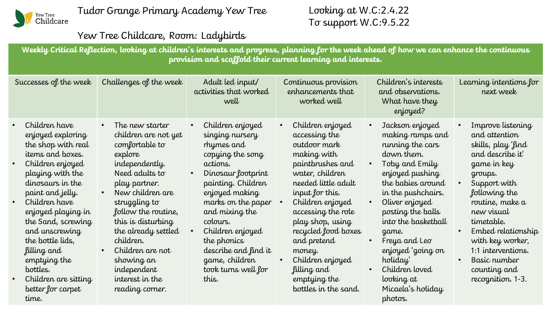

## Yew Tree Childcare, Room: Ladybirds

**Weekly Critical Reflection, looking at children's interests and progress, planning for the week ahead of how we can enhance the continuous provision and scaffold their current learning and interests.**

| Successes of the week                                                                                                                                                                                                                                                                                                                                                                                   | Challenges of the week                                                                                                                                                                                                                                                                                                                 | Adult led input/<br>activities that worked<br>well                                                                                                                                                                                                                                                                                         | Continuous provision<br>enhancements that<br>worked well                                                                                                                                                                                                                                                                                   | Children's interests<br>and observations.<br>What have they<br>enjoyed?                                                                                                                                                                                                                                                                        | Learning intentions for<br>next week                                                                                                                                                                                                                                                                        |
|---------------------------------------------------------------------------------------------------------------------------------------------------------------------------------------------------------------------------------------------------------------------------------------------------------------------------------------------------------------------------------------------------------|----------------------------------------------------------------------------------------------------------------------------------------------------------------------------------------------------------------------------------------------------------------------------------------------------------------------------------------|--------------------------------------------------------------------------------------------------------------------------------------------------------------------------------------------------------------------------------------------------------------------------------------------------------------------------------------------|--------------------------------------------------------------------------------------------------------------------------------------------------------------------------------------------------------------------------------------------------------------------------------------------------------------------------------------------|------------------------------------------------------------------------------------------------------------------------------------------------------------------------------------------------------------------------------------------------------------------------------------------------------------------------------------------------|-------------------------------------------------------------------------------------------------------------------------------------------------------------------------------------------------------------------------------------------------------------------------------------------------------------|
| Children have<br>$\bullet$<br>enjoyed exploring<br>the shop with real<br>items and boxes.<br>Children enjoyed<br>$\bullet$<br>playing with the<br>dinosaurs in the<br>paint and jelly.<br>Children have<br>$\bullet$<br>enjoyed playing in<br>the Sand, screwing<br>and unscrewing<br>the bottle lids,<br>filling and<br>emptying the<br>bottles.<br>Children are sitting<br>better for carpet<br>time. | The new starter<br>children are not yet<br>comfortable to<br>explore<br>independently.<br>Need adults to<br>play partner.<br>New children are<br>struggling to<br>follow the routine,<br>this is disturbing<br>the already settled<br>children.<br>Children are not<br>showing an<br>independent<br>interest in the<br>reading corner. | Children enjoyed<br>$\bullet$<br>singing nursery<br>rhymes and<br>copying the song<br>actions.<br>Dinosaur footprint<br>$\bullet$<br>painting. Children<br>enjoyed making<br>marks on the paper<br>and mixing the<br>colours.<br>Children enjoyed<br>the phonics<br>describe and find it<br>game, children<br>took turns well for<br>this. | Children enjoyed<br>accessing the<br>outdoor mark<br>making with<br>paintbrushes and<br>water, children<br>needed little adult<br>input for this.<br>Children enjoyed<br>accessing the role<br>play shop, using<br>recycled food boxes<br>and pretend<br>money.<br>Children enjoyed<br>filling and<br>emptying the<br>bottles in the sand. | Jackson enjoyed<br>making ramps and<br>running the cars<br>down them.<br>Toby and Emily<br>enjoyed pushing<br>the babies around<br>in the pushchairs.<br>Oliver enjoyed<br>posting the balls<br>into the basketball<br>game.<br>Freya and Leo<br>enjoyed 'going on<br>holiday'<br>Children loved<br>looking at<br>Micaela's holiday<br>photos. | Improve listening<br>and attention<br>skills, play 'find<br>and describe it'<br>game in key<br>groups.<br>Support with<br>following the<br>routine, make a<br>new visual<br>timetable.<br>Embed relationship<br>with key worker,<br>1:1 interventions.<br>Basic number<br>counting and<br>recognition. 1-3. |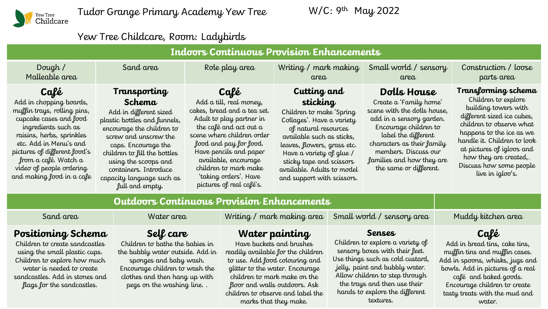

Tudor Grange Primary Academy Yew Tree

W/C: 9th May 2022

## Yew Tree Childcare, Room: Ladybirds

| <b>Indoors Continuous Provision Enhancements</b>                                                                                                                                                                                                                                        |                                                                                                                                                                                                                                                                                                |                                                                                                                                                                                                                                                                                                              |                                                                                                                                                                                                                                                                                          |                                                                                                                                                                                                                                                               |                                                                                                                                                                                                                                                                                               |  |  |
|-----------------------------------------------------------------------------------------------------------------------------------------------------------------------------------------------------------------------------------------------------------------------------------------|------------------------------------------------------------------------------------------------------------------------------------------------------------------------------------------------------------------------------------------------------------------------------------------------|--------------------------------------------------------------------------------------------------------------------------------------------------------------------------------------------------------------------------------------------------------------------------------------------------------------|------------------------------------------------------------------------------------------------------------------------------------------------------------------------------------------------------------------------------------------------------------------------------------------|---------------------------------------------------------------------------------------------------------------------------------------------------------------------------------------------------------------------------------------------------------------|-----------------------------------------------------------------------------------------------------------------------------------------------------------------------------------------------------------------------------------------------------------------------------------------------|--|--|
| Dough $/$<br>Malleable area                                                                                                                                                                                                                                                             | Sand area                                                                                                                                                                                                                                                                                      | Role play area<br>Writing / mark making<br>area                                                                                                                                                                                                                                                              |                                                                                                                                                                                                                                                                                          | Small world / sensory<br>area                                                                                                                                                                                                                                 | Construction / loose<br>parts area                                                                                                                                                                                                                                                            |  |  |
| Café<br>Add in chopping boards,<br>muffin trays, rolling pins,<br>cupcake cases and food<br>ingredients such as<br>raisins, herbs, sprinkles<br>etc. Add in Menu's and<br>pictures of different food's<br>from a café. Watch a<br>video of people ordering<br>and making food in a cafe | Transporting<br>Schema<br>Add in different sized<br>plastic bottles and funnels,<br>encourage the children to<br>screw and unscrew the<br>caps. Encourage the<br>children to fill the bottles<br>using the scoops and<br>containers. Introduce<br>capacity language such as<br>full and empty. | Café<br>Add a till, real money,<br>cakes, bread and a tea set.<br>Adult to play partner in<br>the café and act out a<br>scene where children order<br>food and pay for food.<br>Have pencils and paper<br>available, encourage<br>children to mark make<br>'taking orders'. Have<br>pictures of real café's. | Cutting and<br>sticking<br>Children to make 'Spring<br>Collages'. Have a variety<br>of natural resources<br>available such as sticks,<br>leaves, flowers, grass etc.<br>Have a variety of glue /<br>sticky tape and scissors<br>available. Adults to model<br>and support with scissors. | Dolls House<br>Create a 'Family home'<br>scene with the dolls house,<br>add in a sensory garden.<br>Encourage children to<br>label the different<br>characters as their family<br>members. Discuss our<br>families and how they are<br>the same or different. | Transforming schema<br>Children to explore<br>building towers with<br>different sized ice cubes,<br>children to observe what<br>happens to the ice as we<br>handle it. Children to look<br>at pictures of igloos and<br>how they are created,.<br>Discuss how some people<br>live in igloo's. |  |  |
|                                                                                                                                                                                                                                                                                         |                                                                                                                                                                                                                                                                                                |                                                                                                                                                                                                                                                                                                              |                                                                                                                                                                                                                                                                                          |                                                                                                                                                                                                                                                               |                                                                                                                                                                                                                                                                                               |  |  |

## **Outdoors Continuous Provision Enhancements**

| Sand area                                                                                                                                                                                                          | Water area                                                                                                                                                                                                | Writing / mark making area                                                                                                                                                                                                                                                           | Small world / sensory area                                                                                                                                                                                                                                          | Muddy kitchen area                                                                                                                                                                                                                                |
|--------------------------------------------------------------------------------------------------------------------------------------------------------------------------------------------------------------------|-----------------------------------------------------------------------------------------------------------------------------------------------------------------------------------------------------------|--------------------------------------------------------------------------------------------------------------------------------------------------------------------------------------------------------------------------------------------------------------------------------------|---------------------------------------------------------------------------------------------------------------------------------------------------------------------------------------------------------------------------------------------------------------------|---------------------------------------------------------------------------------------------------------------------------------------------------------------------------------------------------------------------------------------------------|
| Positioning Schema<br>Children to create sandcastles<br>using the small plastic cups.<br>Children to explore how much<br>water is needed to create<br>sandcastles. Add in stones and<br>flags for the sandcastles. | Self care<br>Children to bathe the babies in<br>the bubbly water outside. Add in<br>sponges and baby wash.<br>Encourage children to wash the<br>clothes and then hang up with<br>pegs on the washing line | Water painting<br>Have buckets and brushes<br>readily available for the children<br>to use. Add food colouring and<br>glitter to the water. Encourage<br>children to mark make on the<br>floor and walls outdoors. Ask<br>children to observe and label the<br>marks that they make. | Senses<br>Children to explore a variety of<br>sensory boxes with their feet.<br>Use things such as cold custard,<br>jelly, paint and bubbly water.<br>Allow children to step through<br>the trays and then use their<br>hands to explore the different<br>textures. | Café<br>Add in bread tins, cake tins,<br>muffin tins and muffin cases.<br>Add in spoons, whisks, jugs and<br>bowls. Add in pictures of a real<br>café and baked goods.<br>Encourage children to create<br>tasty treats with the mud and<br>water. |